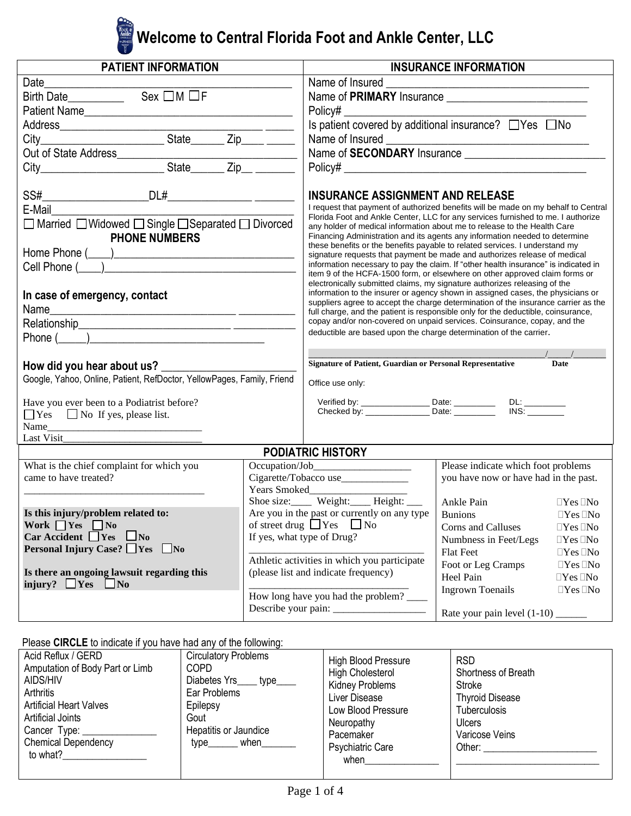# **Welcome to Central Florida Foot and Ankle Center, LLC**

| <b>PATIENT INFORMATION</b>                                                 |                                                              |                                                                                                                                                                                                                                                                                                                                                                                                         | <b>INSURANCE INFORMATION</b>          |                      |  |
|----------------------------------------------------------------------------|--------------------------------------------------------------|---------------------------------------------------------------------------------------------------------------------------------------------------------------------------------------------------------------------------------------------------------------------------------------------------------------------------------------------------------------------------------------------------------|---------------------------------------|----------------------|--|
|                                                                            |                                                              |                                                                                                                                                                                                                                                                                                                                                                                                         |                                       |                      |  |
|                                                                            |                                                              |                                                                                                                                                                                                                                                                                                                                                                                                         |                                       |                      |  |
| Patient Name                                                               |                                                              |                                                                                                                                                                                                                                                                                                                                                                                                         |                                       |                      |  |
|                                                                            |                                                              | Is patient covered by additional insurance? TYes No                                                                                                                                                                                                                                                                                                                                                     |                                       |                      |  |
|                                                                            |                                                              |                                                                                                                                                                                                                                                                                                                                                                                                         |                                       |                      |  |
|                                                                            |                                                              |                                                                                                                                                                                                                                                                                                                                                                                                         |                                       |                      |  |
|                                                                            |                                                              |                                                                                                                                                                                                                                                                                                                                                                                                         |                                       |                      |  |
|                                                                            |                                                              |                                                                                                                                                                                                                                                                                                                                                                                                         |                                       |                      |  |
|                                                                            |                                                              | <b>INSURANCE ASSIGNMENT AND RELEASE</b>                                                                                                                                                                                                                                                                                                                                                                 |                                       |                      |  |
| E-Mail <b>E</b>                                                            |                                                              | I request that payment of authorized benefits will be made on my behalf to Central                                                                                                                                                                                                                                                                                                                      |                                       |                      |  |
| □ Married □ Widowed □ Single □ Separated □ Divorced                        |                                                              | Florida Foot and Ankle Center, LLC for any services furnished to me. I authorize<br>any holder of medical information about me to release to the Health Care<br>Financing Administration and its agents any information needed to determine<br>these benefits or the benefits payable to related services. I understand my<br>signature requests that payment be made and authorizes release of medical |                                       |                      |  |
| <b>PHONE NUMBERS</b>                                                       |                                                              |                                                                                                                                                                                                                                                                                                                                                                                                         |                                       |                      |  |
|                                                                            |                                                              |                                                                                                                                                                                                                                                                                                                                                                                                         |                                       |                      |  |
|                                                                            |                                                              | information necessary to pay the claim. If "other health insurance" is indicated in                                                                                                                                                                                                                                                                                                                     |                                       |                      |  |
|                                                                            |                                                              | item 9 of the HCFA-1500 form, or elsewhere on other approved claim forms or<br>electronically submitted claims, my signature authorizes releasing of the                                                                                                                                                                                                                                                |                                       |                      |  |
| In case of emergency, contact                                              |                                                              | information to the insurer or agency shown in assigned cases, the physicians or                                                                                                                                                                                                                                                                                                                         |                                       |                      |  |
|                                                                            |                                                              | suppliers agree to accept the charge determination of the insurance carrier as the<br>full charge, and the patient is responsible only for the deductible, coinsurance,<br>copay and/or non-covered on unpaid services. Coinsurance, copay, and the                                                                                                                                                     |                                       |                      |  |
|                                                                            |                                                              |                                                                                                                                                                                                                                                                                                                                                                                                         |                                       |                      |  |
| Phone $(\_\_)$                                                             |                                                              | deductible are based upon the charge determination of the carrier.                                                                                                                                                                                                                                                                                                                                      |                                       |                      |  |
|                                                                            |                                                              |                                                                                                                                                                                                                                                                                                                                                                                                         |                                       |                      |  |
| How did you hear about us?                                                 |                                                              | Signature of Patient, Guardian or Personal Representative                                                                                                                                                                                                                                                                                                                                               |                                       | Date                 |  |
| Google, Yahoo, Online, Patient, RefDoctor, YellowPages, Family, Friend     |                                                              | Office use only:                                                                                                                                                                                                                                                                                                                                                                                        |                                       |                      |  |
| Have you ever been to a Podiatrist before?                                 |                                                              |                                                                                                                                                                                                                                                                                                                                                                                                         |                                       |                      |  |
| $\Box$ Yes $\Box$ No If yes, please list.                                  |                                                              |                                                                                                                                                                                                                                                                                                                                                                                                         |                                       |                      |  |
|                                                                            |                                                              |                                                                                                                                                                                                                                                                                                                                                                                                         |                                       |                      |  |
| Last Visit                                                                 |                                                              |                                                                                                                                                                                                                                                                                                                                                                                                         |                                       |                      |  |
|                                                                            |                                                              | <b>PODIATRIC HISTORY</b>                                                                                                                                                                                                                                                                                                                                                                                |                                       |                      |  |
| What is the chief complaint for which you                                  |                                                              |                                                                                                                                                                                                                                                                                                                                                                                                         | Please indicate which foot problems   |                      |  |
| came to have treated?                                                      | Cigarette/Tobacco use________________<br>Years Smoked        |                                                                                                                                                                                                                                                                                                                                                                                                         | you have now or have had in the past. |                      |  |
|                                                                            |                                                              | Shoe size: Weight: Height: _____                                                                                                                                                                                                                                                                                                                                                                        | Ankle Pain                            | $\Box$ Yes $\Box$ No |  |
| Is this injury/problem related to:                                         | Are you in the past or currently on any type $\vert$ Bunions |                                                                                                                                                                                                                                                                                                                                                                                                         |                                       | $\Box$ Yes $\Box$ No |  |
| Work $\Box$ Yes $\Box$ No                                                  | of street drug $\Box$ Yes $\Box$ No                          |                                                                                                                                                                                                                                                                                                                                                                                                         | Corns and Calluses                    | $\Box$ Yes $\Box$ No |  |
| $Car \textbf{Accident}$ Yes $\Box$ No                                      | If yes, what type of Drug?                                   |                                                                                                                                                                                                                                                                                                                                                                                                         | Numbness in Feet/Legs                 | $\Box$ Yes $\Box$ No |  |
| <b>Personal Injury Case?</b> $\Box$ Yes $\Box$ No                          |                                                              |                                                                                                                                                                                                                                                                                                                                                                                                         | Flat Feet                             | $\Box Yes \,\Box No$ |  |
|                                                                            |                                                              | Athletic activities in which you participate                                                                                                                                                                                                                                                                                                                                                            | Foot or Leg Cramps                    | $\Box$ Yes $\Box$ No |  |
| Is there an ongoing lawsuit regarding this<br>injury? $\Box$ Yes $\Box$ No |                                                              | (please list and indicate frequency)                                                                                                                                                                                                                                                                                                                                                                    | Heel Pain                             | $\Box$ Yes $\Box$ No |  |
|                                                                            | How long have you had the problem?                           |                                                                                                                                                                                                                                                                                                                                                                                                         | <b>Ingrown Toenails</b>               | $\Box$ Yes $\Box$ No |  |
|                                                                            |                                                              |                                                                                                                                                                                                                                                                                                                                                                                                         |                                       |                      |  |
|                                                                            |                                                              |                                                                                                                                                                                                                                                                                                                                                                                                         |                                       |                      |  |

### Please **CIRCLE** to indicate if you have had any of the following:

| Acid Reflux / GERD<br>Amputation of Body Part or Limb<br>AIDS/HIV<br>Arthritis<br><b>Artificial Heart Valves</b><br>Artificial Joints<br>Cancer Type:<br><b>Chemical Dependency</b><br>to what? | <b>Circulatory Problems</b><br><b>COPD</b><br>Diabetes Yrs_____ type____<br>Ear Problems<br>Epilepsy<br>Gout<br>Hepatitis or Jaundice<br>type______ when___ | High Blood Pressure<br><b>High Cholesterol</b><br>Kidney Problems<br>Liver Disease<br>Low Blood Pressure<br>Neuropathy<br>Pacemaker<br><b>Psychiatric Care</b><br>when | <b>RSD</b><br>Shortness of Breath<br>Stroke<br><b>Thyroid Disease</b><br><b>Tuberculosis</b><br><b>Ulcers</b><br>Varicose Veins<br>Other: and the control of the control of the control of the control of the control of the control of the control of the control of the control of the control of the control of the control of the control of the control of t |
|-------------------------------------------------------------------------------------------------------------------------------------------------------------------------------------------------|-------------------------------------------------------------------------------------------------------------------------------------------------------------|------------------------------------------------------------------------------------------------------------------------------------------------------------------------|-------------------------------------------------------------------------------------------------------------------------------------------------------------------------------------------------------------------------------------------------------------------------------------------------------------------------------------------------------------------|
|-------------------------------------------------------------------------------------------------------------------------------------------------------------------------------------------------|-------------------------------------------------------------------------------------------------------------------------------------------------------------|------------------------------------------------------------------------------------------------------------------------------------------------------------------------|-------------------------------------------------------------------------------------------------------------------------------------------------------------------------------------------------------------------------------------------------------------------------------------------------------------------------------------------------------------------|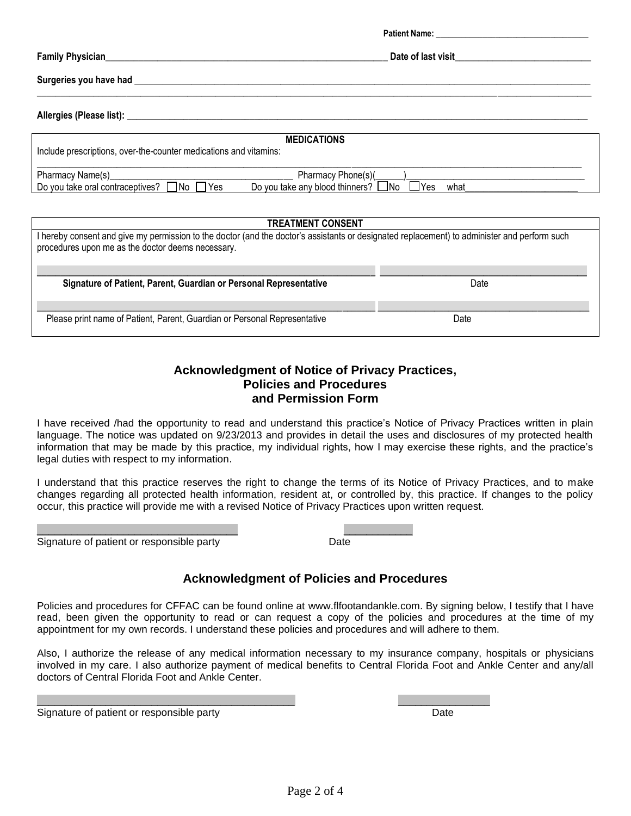**Patient Name: Family Physician**\_\_\_\_\_\_\_\_\_\_\_\_\_\_\_\_\_\_\_\_\_\_\_\_\_\_\_\_\_\_\_\_\_\_\_\_\_\_\_\_\_\_\_\_\_\_\_\_\_\_\_\_\_\_\_\_\_\_\_\_ **Date of last visit**\_\_\_\_\_\_\_\_\_\_\_\_\_\_\_\_\_\_\_\_\_\_\_\_\_\_\_\_\_ **Surgeries you have had** \_\_\_\_\_\_\_\_\_\_\_\_\_\_\_\_\_\_\_\_\_\_\_\_\_\_\_\_\_\_\_\_\_\_\_\_\_\_\_\_\_\_\_\_\_\_\_\_\_\_\_\_\_\_\_\_\_\_\_\_\_\_\_\_\_\_\_\_\_\_\_\_\_\_\_\_\_\_\_\_\_\_\_\_\_\_\_\_\_\_\_\_\_\_\_\_\_ \_\_\_\_\_\_\_\_\_\_\_\_\_\_\_\_\_\_\_\_\_\_\_\_\_\_\_\_\_\_\_\_\_\_\_\_\_\_\_\_\_\_\_\_\_\_\_\_\_\_\_\_\_\_\_\_\_\_\_\_\_\_\_\_\_\_\_\_\_\_\_\_\_\_\_\_\_\_\_\_\_\_\_\_\_\_\_\_\_\_\_\_\_\_\_\_\_\_\_\_\_\_\_\_\_\_\_\_\_\_\_\_\_\_\_\_\_\_ **Allergies (Please list):** \_\_\_\_\_\_\_\_\_\_\_\_\_\_\_\_\_\_\_\_\_\_\_\_\_\_\_\_\_\_\_\_\_\_\_\_\_\_\_\_\_\_\_\_\_\_\_\_\_\_\_\_\_\_\_\_\_\_\_\_\_\_\_\_\_\_\_\_\_\_\_\_\_\_\_\_\_\_\_\_\_\_\_\_\_\_\_\_\_\_\_\_\_\_\_\_\_\_

| <b>MEDICATIONS</b><br>Include prescriptions, over-the-counter medications and vitamins: |                                                                            |      |  |  |
|-----------------------------------------------------------------------------------------|----------------------------------------------------------------------------|------|--|--|
| Pharmacy Name(s)<br>1No<br>Do you take oral contraceptives?<br>'Yes                     | Pharmacy Phone(s)(<br>Do you take any blood thinners? □No<br>$\exists$ Yes | what |  |  |

| <b>TREATMENT CONSENT</b>                                                                                                                                                                          |      |  |  |
|---------------------------------------------------------------------------------------------------------------------------------------------------------------------------------------------------|------|--|--|
| I hereby consent and give my permission to the doctor (and the doctor's assistants or designated replacement) to administer and perform such<br>procedures upon me as the doctor deems necessary. |      |  |  |
| Signature of Patient, Parent, Guardian or Personal Representative                                                                                                                                 | Date |  |  |
| Please print name of Patient, Parent, Guardian or Personal Representative                                                                                                                         | Date |  |  |

#### **Acknowledgment of Notice of Privacy Practices, Policies and Procedures and Permission Form**

I have received /had the opportunity to read and understand this practice's Notice of Privacy Practices written in plain language. The notice was updated on 9/23/2013 and provides in detail the uses and disclosures of my protected health information that may be made by this practice, my individual rights, how I may exercise these rights, and the practice's legal duties with respect to my information.

I understand that this practice reserves the right to change the terms of its Notice of Privacy Practices, and to make changes regarding all protected health information, resident at, or controlled by, this practice. If changes to the policy occur, this practice will provide me with a revised Notice of Privacy Practices upon written request.

\_\_\_\_\_\_\_\_\_\_\_\_\_\_\_\_\_\_\_\_\_\_\_\_\_\_\_\_\_\_\_\_\_\_\_ \_\_\_\_\_\_\_\_\_\_\_\_ Signature of patient or responsible party method of pate Date

### **Acknowledgment of Policies and Procedures**

Policies and procedures for CFFAC can be found online at www.flfootandankle.com. By signing below, I testify that I have read, been given the opportunity to read or can request a copy of the policies and procedures at the time of my appointment for my own records. I understand these policies and procedures and will adhere to them.

Also, I authorize the release of any medical information necessary to my insurance company, hospitals or physicians involved in my care. I also authorize payment of medical benefits to Central Florida Foot and Ankle Center and any/all doctors of Central Florida Foot and Ankle Center.

Signature of patient or responsible party Date of Date Date Date Date Date Date Date

\_\_\_\_\_\_\_\_\_\_\_\_\_\_\_\_\_\_\_\_\_\_\_\_\_\_\_\_\_\_\_\_\_\_\_\_\_\_\_\_\_\_\_\_\_ \_\_\_\_\_\_\_\_\_\_\_\_\_\_\_\_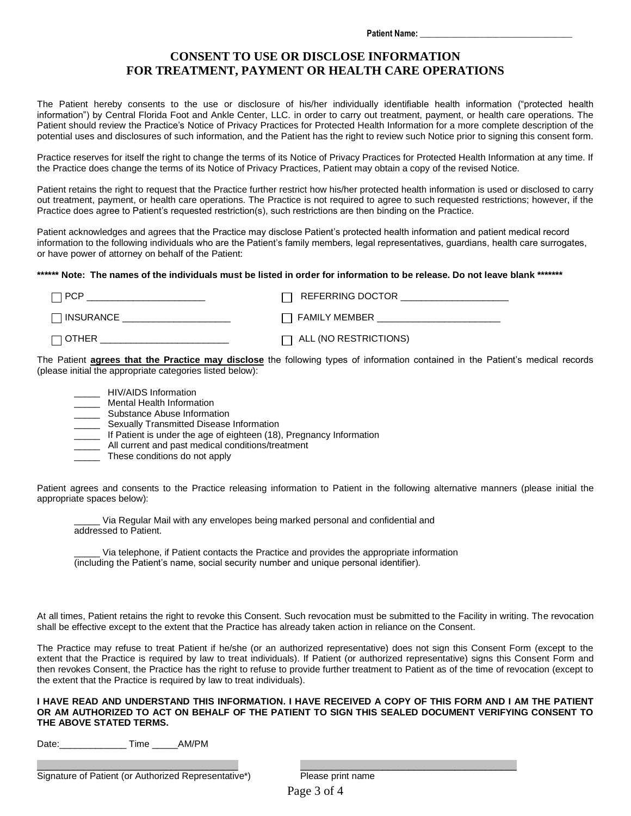#### **CONSENT TO USE OR DISCLOSE INFORMATION FOR TREATMENT, PAYMENT OR HEALTH CARE OPERATIONS**

The Patient hereby consents to the use or disclosure of his/her individually identifiable health information ("protected health information") by Central Florida Foot and Ankle Center, LLC. in order to carry out treatment, payment, or health care operations. The Patient should review the Practice's Notice of Privacy Practices for Protected Health Information for a more complete description of the potential uses and disclosures of such information, and the Patient has the right to review such Notice prior to signing this consent form.

Practice reserves for itself the right to change the terms of its Notice of Privacy Practices for Protected Health Information at any time. If the Practice does change the terms of its Notice of Privacy Practices, Patient may obtain a copy of the revised Notice.

Patient retains the right to request that the Practice further restrict how his/her protected health information is used or disclosed to carry out treatment, payment, or health care operations. The Practice is not required to agree to such requested restrictions; however, if the Practice does agree to Patient's requested restriction(s), such restrictions are then binding on the Practice.

Patient acknowledges and agrees that the Practice may disclose Patient's protected health information and patient medical record information to the following individuals who are the Patient's family members, legal representatives, guardians, health care surrogates, or have power of attorney on behalf of the Patient:

**\*\*\*\*\*\* Note: The names of the individuals must be listed in order for information to be release. Do not leave blank \*\*\*\*\*\*\***

| $\Box$ PCP         | REFERRING DOCTOR             |
|--------------------|------------------------------|
| <b>THINSURANCE</b> | $\Box$ FAMILY MEMBER         |
| $\Box$ OTHER       | $\Box$ ALL (NO RESTRICTIONS) |

The Patient **agrees that the Practice may disclose** the following types of information contained in the Patient's medical records (please initial the appropriate categories listed below):

- \_ HIV/AIDS Information
- \_\_\_\_\_ Mental Health Information
- \_\_\_\_\_ Substance Abuse Information
- \_\_\_\_\_ Sexually Transmitted Disease Information
- \_\_\_\_\_ If Patient is under the age of eighteen (18), Pregnancy Information
- \_\_\_\_\_ All current and past medical conditions/treatment
- These conditions do not apply

Patient agrees and consents to the Practice releasing information to Patient in the following alternative manners (please initial the appropriate spaces below):

Via Regular Mail with any envelopes being marked personal and confidential and addressed to Patient.

Via telephone, if Patient contacts the Practice and provides the appropriate information (including the Patient's name, social security number and unique personal identifier).

At all times, Patient retains the right to revoke this Consent. Such revocation must be submitted to the Facility in writing. The revocation shall be effective except to the extent that the Practice has already taken action in reliance on the Consent.

The Practice may refuse to treat Patient if he/she (or an authorized representative) does not sign this Consent Form (except to the extent that the Practice is required by law to treat individuals). If Patient (or authorized representative) signs this Consent Form and then revokes Consent, the Practice has the right to refuse to provide further treatment to Patient as of the time of revocation (except to the extent that the Practice is required by law to treat individuals).

#### **I HAVE READ AND UNDERSTAND THIS INFORMATION. I HAVE RECEIVED A COPY OF THIS FORM AND I AM THE PATIENT OR AM AUTHORIZED TO ACT ON BEHALF OF THE PATIENT TO SIGN THIS SEALED DOCUMENT VERIFYING CONSENT TO THE ABOVE STATED TERMS.**

Date:\_\_\_\_\_\_\_\_\_\_\_\_\_ Time \_\_\_\_\_AM/PM

\_\_\_\_\_\_\_\_\_\_\_\_\_\_\_\_\_\_\_\_\_\_\_\_\_\_\_\_\_\_\_\_\_\_\_\_\_\_\_ \_\_\_\_\_\_\_\_\_\_\_\_\_\_\_\_\_\_\_\_\_\_\_\_\_\_\_\_\_\_\_\_\_\_\_\_\_\_\_\_\_\_